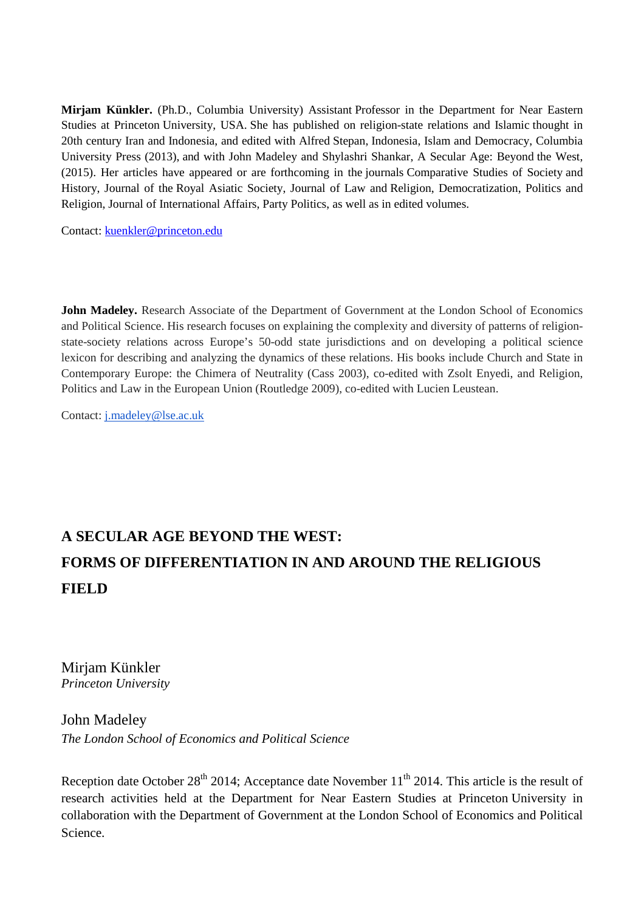**Mirjam Künkler.** (Ph.D., Columbia University) Assistant Professor in the Department for Near Eastern Studies at Princeton University, USA. She has published on religion-state relations and Islamic thought in 20th century Iran and Indonesia, and edited with Alfred Stepan, Indonesia, Islam and Democracy, Columbia University Press (2013), and with John Madeley and Shylashri Shankar, A Secular Age: Beyond the West, (2015). Her articles have appeared or are forthcoming in the journals Comparative Studies of Society and History, Journal of the Royal Asiatic Society, Journal of Law and Religion, Democratization, Politics and Religion, Journal of International Affairs, Party Politics, as well as in edited volumes.

Contact: kuenkler@princeton.edu

**John Madeley.** Research Associate of the Department of Government at the London School of Economics and Political Science. His research focuses on explaining the complexity and diversity of patterns of religionstate-society relations across Europe's 50-odd state jurisdictions and on developing a political science lexicon for describing and analyzing the dynamics of these relations. His books include Church and State in Contemporary Europe: the Chimera of Neutrality (Cass 2003), co-edited with Zsolt Enyedi, and Religion, Politics and Law in the European Union (Routledge 2009), co-edited with Lucien Leustean.

Contact: j.madeley@lse.ac.uk

# **A SECULAR AGE BEYOND THE WEST: FORMS OF DIFFERENTIATION IN AND AROUND THE RELIGIOUS FIELD**

Mirjam Künkler *Princeton University* 

# John Madeley *The London School of Economics and Political Science*

Reception date October 28<sup>th</sup> 2014; Acceptance date November  $11<sup>th</sup>$  2014. This article is the result of research activities held at the Department for Near Eastern Studies at Princeton University in collaboration with the Department of Government at the London School of Economics and Political Science.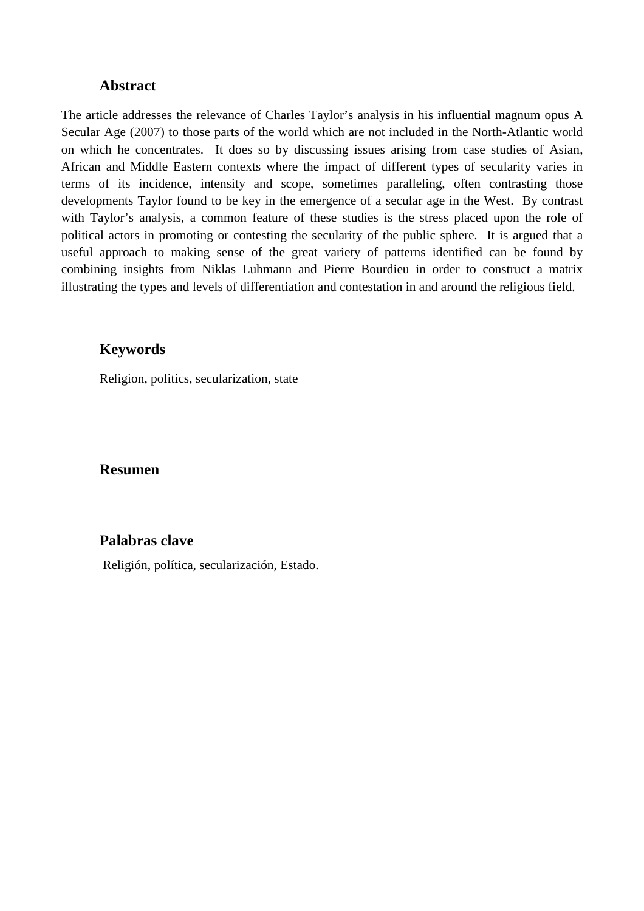## **Abstract**

The article addresses the relevance of Charles Taylor's analysis in his influential magnum opus A Secular Age (2007) to those parts of the world which are not included in the North-Atlantic world on which he concentrates. It does so by discussing issues arising from case studies of Asian, African and Middle Eastern contexts where the impact of different types of secularity varies in terms of its incidence, intensity and scope, sometimes paralleling, often contrasting those developments Taylor found to be key in the emergence of a secular age in the West. By contrast with Taylor's analysis, a common feature of these studies is the stress placed upon the role of political actors in promoting or contesting the secularity of the public sphere. It is argued that a useful approach to making sense of the great variety of patterns identified can be found by combining insights from Niklas Luhmann and Pierre Bourdieu in order to construct a matrix illustrating the types and levels of differentiation and contestation in and around the religious field.

## **Keywords**

Religion, politics, secularization, state

## **Resumen**

# **Palabras clave**

Religión, política, secularización, Estado.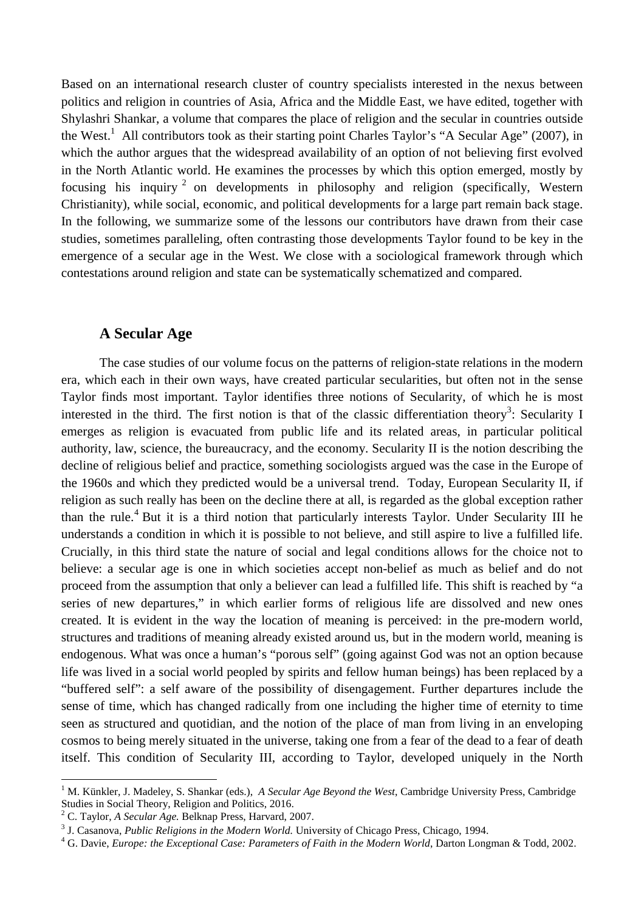Based on an international research cluster of country specialists interested in the nexus between politics and religion in countries of Asia, Africa and the Middle East, we have edited, together with Shylashri Shankar, a volume that compares the place of religion and the secular in countries outside the West.<sup>1</sup> All contributors took as their starting point Charles Taylor's "A Secular Age" (2007), in which the author argues that the widespread availability of an option of not believing first evolved in the North Atlantic world. He examines the processes by which this option emerged, mostly by focusing his inquiry<sup>2</sup> on developments in philosophy and religion (specifically, Western Christianity), while social, economic, and political developments for a large part remain back stage. In the following, we summarize some of the lessons our contributors have drawn from their case studies, sometimes paralleling, often contrasting those developments Taylor found to be key in the emergence of a secular age in the West. We close with a sociological framework through which contestations around religion and state can be systematically schematized and compared.

#### **A Secular Age**

The case studies of our volume focus on the patterns of religion-state relations in the modern era, which each in their own ways, have created particular secularities, but often not in the sense Taylor finds most important. Taylor identifies three notions of Secularity, of which he is most interested in the third. The first notion is that of the classic differentiation theory<sup>3</sup>: Secularity I emerges as religion is evacuated from public life and its related areas, in particular political authority, law, science, the bureaucracy, and the economy. Secularity II is the notion describing the decline of religious belief and practice, something sociologists argued was the case in the Europe of the 1960s and which they predicted would be a universal trend. Today, European Secularity II, if religion as such really has been on the decline there at all, is regarded as the global exception rather than the rule.<sup>4</sup> But it is a third notion that particularly interests Taylor. Under Secularity III he understands a condition in which it is possible to not believe, and still aspire to live a fulfilled life. Crucially, in this third state the nature of social and legal conditions allows for the choice not to believe: a secular age is one in which societies accept non-belief as much as belief and do not proceed from the assumption that only a believer can lead a fulfilled life. This shift is reached by "a series of new departures," in which earlier forms of religious life are dissolved and new ones created. It is evident in the way the location of meaning is perceived: in the pre-modern world, structures and traditions of meaning already existed around us, but in the modern world, meaning is endogenous. What was once a human's "porous self" (going against God was not an option because life was lived in a social world peopled by spirits and fellow human beings) has been replaced by a "buffered self": a self aware of the possibility of disengagement. Further departures include the sense of time, which has changed radically from one including the higher time of eternity to time seen as structured and quotidian, and the notion of the place of man from living in an enveloping cosmos to being merely situated in the universe, taking one from a fear of the dead to a fear of death itself. This condition of Secularity III, according to Taylor, developed uniquely in the North

<sup>&</sup>lt;sup>1</sup> M. Künkler, J. Madeley, S. Shankar (eds.), A Secular Age Beyond the West, Cambridge University Press, Cambridge Studies in Social Theory, Religion and Politics, 2016.

<sup>2</sup> C. Taylor, *A Secular Age.* Belknap Press, Harvard, 2007.

<sup>3</sup> J. Casanova, *Public Religions in the Modern World.* University of Chicago Press, Chicago, 1994.

<sup>&</sup>lt;sup>4</sup> G. Davie, *Europe: the Exceptional Case: Parameters of Faith in the Modern World*, Darton Longman & Todd, 2002.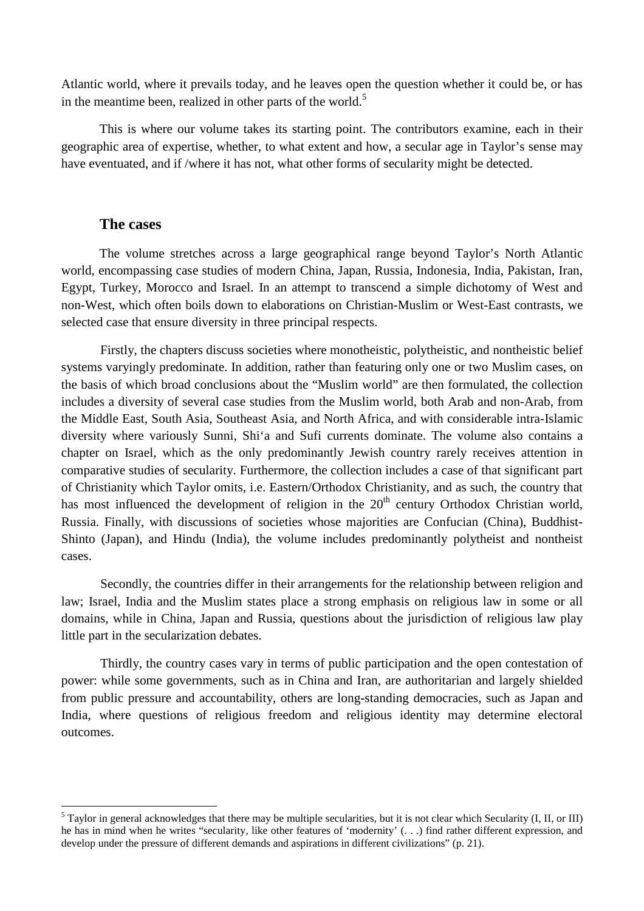Atlantic world, where it prevails today, and he leaves open the question whether it could be, or has in the meantime been, realized in other parts of the world.<sup>5</sup>

 This is where our volume takes its starting point. The contributors examine, each in their geographic area of expertise, whether, to what extent and how, a secular age in Taylor's sense may have eventuated, and if /where it has not, what other forms of secularity might be detected.

## **The cases**

l

The volume stretches across a large geographical range beyond Taylor's North Atlantic world, encompassing case studies of modern China, Japan, Russia, Indonesia, India, Pakistan, Iran, Egypt, Turkey, Morocco and Israel. In an attempt to transcend a simple dichotomy of West and non-West, which often boils down to elaborations on Christian-Muslim or West-East contrasts, we selected case that ensure diversity in three principal respects.

Firstly, the chapters discuss societies where monotheistic, polytheistic, and nontheistic belief systems varyingly predominate. In addition, rather than featuring only one or two Muslim cases, on the basis of which broad conclusions about the "Muslim world" are then formulated, the collection includes a diversity of several case studies from the Muslim world, both Arab and non-Arab, from the Middle East, South Asia, Southeast Asia, and North Africa, and with considerable intra-Islamic diversity where variously Sunni, Shi'a and Sufi currents dominate. The volume also contains a chapter on Israel, which as the only predominantly Jewish country rarely receives attention in comparative studies of secularity. Furthermore, the collection includes a case of that significant part of Christianity which Taylor omits, i.e. Eastern/Orthodox Christianity, and as such, the country that has most influenced the development of religion in the  $20<sup>th</sup>$  century Orthodox Christian world, Russia. Finally, with discussions of societies whose majorities are Confucian (China), Buddhist-Shinto (Japan), and Hindu (India), the volume includes predominantly polytheist and nontheist cases.

Secondly, the countries differ in their arrangements for the relationship between religion and law; Israel, India and the Muslim states place a strong emphasis on religious law in some or all domains, while in China, Japan and Russia, questions about the jurisdiction of religious law play little part in the secularization debates.

Thirdly, the country cases vary in terms of public participation and the open contestation of power: while some governments, such as in China and Iran, are authoritarian and largely shielded from public pressure and accountability, others are long-standing democracies, such as Japan and India, where questions of religious freedom and religious identity may determine electoral outcomes.

 $<sup>5</sup>$  Taylor in general acknowledges that there may be multiple secularities, but it is not clear which Secularity (I, II, or III)</sup> he has in mind when he writes "secularity, like other features of 'modernity' (. . .) find rather different expression, and develop under the pressure of different demands and aspirations in different civilizations" (p. 21).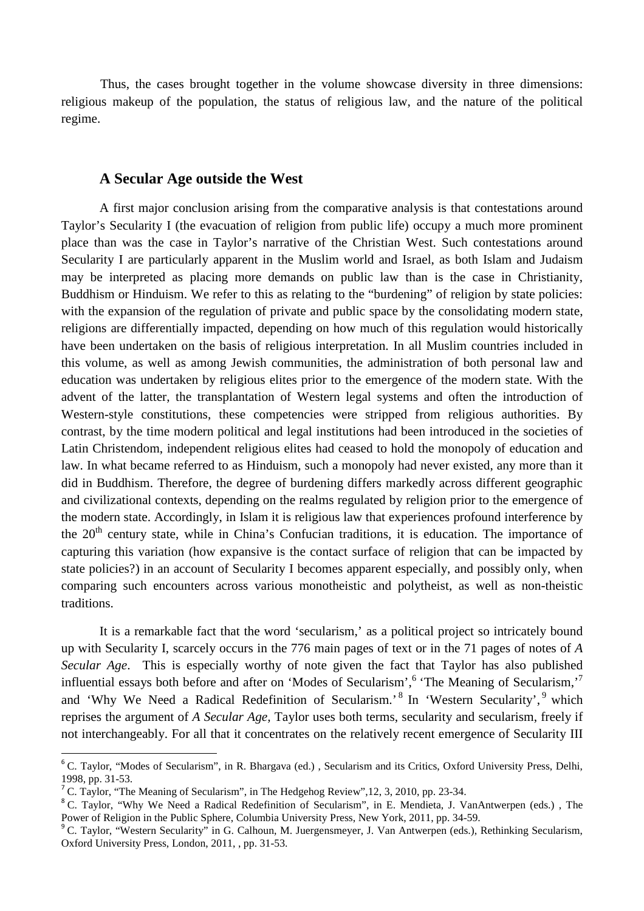Thus, the cases brought together in the volume showcase diversity in three dimensions: religious makeup of the population, the status of religious law, and the nature of the political regime.

#### **A Secular Age outside the West**

A first major conclusion arising from the comparative analysis is that contestations around Taylor's Secularity I (the evacuation of religion from public life) occupy a much more prominent place than was the case in Taylor's narrative of the Christian West. Such contestations around Secularity I are particularly apparent in the Muslim world and Israel, as both Islam and Judaism may be interpreted as placing more demands on public law than is the case in Christianity, Buddhism or Hinduism. We refer to this as relating to the "burdening" of religion by state policies: with the expansion of the regulation of private and public space by the consolidating modern state, religions are differentially impacted, depending on how much of this regulation would historically have been undertaken on the basis of religious interpretation. In all Muslim countries included in this volume, as well as among Jewish communities, the administration of both personal law and education was undertaken by religious elites prior to the emergence of the modern state. With the advent of the latter, the transplantation of Western legal systems and often the introduction of Western-style constitutions, these competencies were stripped from religious authorities. By contrast, by the time modern political and legal institutions had been introduced in the societies of Latin Christendom, independent religious elites had ceased to hold the monopoly of education and law. In what became referred to as Hinduism, such a monopoly had never existed, any more than it did in Buddhism. Therefore, the degree of burdening differs markedly across different geographic and civilizational contexts, depending on the realms regulated by religion prior to the emergence of the modern state. Accordingly, in Islam it is religious law that experiences profound interference by the  $20<sup>th</sup>$  century state, while in China's Confucian traditions, it is education. The importance of capturing this variation (how expansive is the contact surface of religion that can be impacted by state policies?) in an account of Secularity I becomes apparent especially, and possibly only, when comparing such encounters across various monotheistic and polytheist, as well as non-theistic traditions.

 It is a remarkable fact that the word 'secularism,' as a political project so intricately bound up with Secularity I, scarcely occurs in the 776 main pages of text or in the 71 pages of notes of *A Secular Age*. This is especially worthy of note given the fact that Taylor has also published influential essays both before and after on 'Modes of Secularism', <sup>6</sup> 'The Meaning of Secularism,'<sup>7</sup> and 'Why We Need a Radical Redefinition of Secularism.' <sup>8</sup> In 'Western Secularity', <sup>9</sup> which reprises the argument of *A Secular Age,* Taylor uses both terms, secularity and secularism, freely if not interchangeably. For all that it concentrates on the relatively recent emergence of Secularity III

 $\overline{a}$ 

<sup>&</sup>lt;sup>6</sup> C. Taylor, "Modes of Secularism", in R. Bhargava (ed.), Secularism and its Critics, Oxford University Press, Delhi, 1998, pp. 31-53.

<sup>&</sup>lt;sup>7</sup> C. Taylor, "The Meaning of Secularism", in The Hedgehog Review", 12, 3, 2010, pp. 23-34.

<sup>&</sup>lt;sup>8</sup> C. Taylor, "Why We Need a Radical Redefinition of Secularism", in E. Mendieta, J. VanAntwerpen (eds.), The Power of Religion in the Public Sphere, Columbia University Press, New York, 2011, pp. 34-59.

<sup>&</sup>lt;sup>9</sup> C. Taylor, "Western Secularity" in G. Calhoun, M. Juergensmeyer, J. Van Antwerpen (eds.), Rethinking Secularism, Oxford University Press, London, 2011, , pp. 31-53.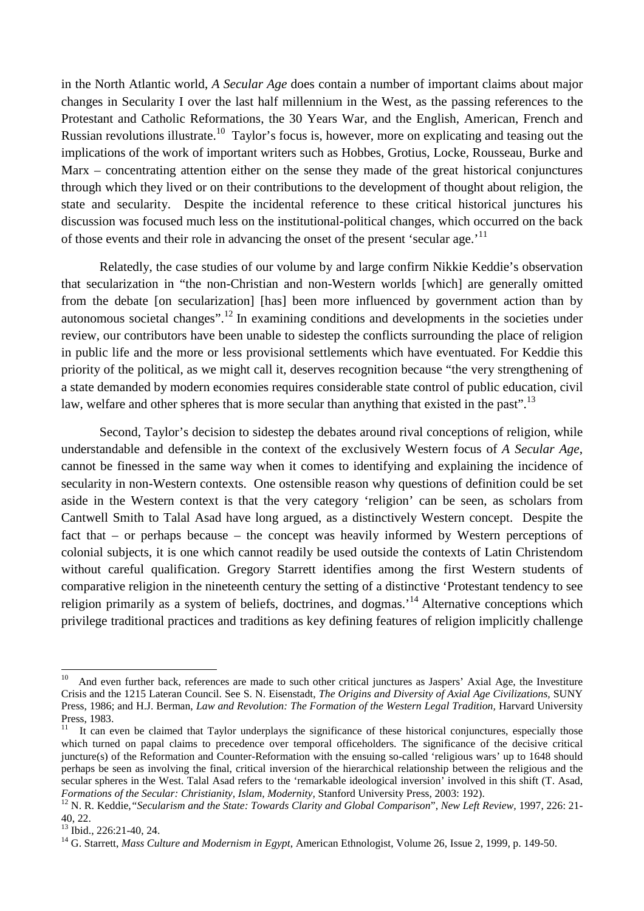in the North Atlantic world, *A Secular Age* does contain a number of important claims about major changes in Secularity I over the last half millennium in the West, as the passing references to the Protestant and Catholic Reformations, the 30 Years War, and the English, American, French and Russian revolutions illustrate.<sup>10</sup> Taylor's focus is, however, more on explicating and teasing out the implications of the work of important writers such as Hobbes, Grotius, Locke, Rousseau, Burke and Marx – concentrating attention either on the sense they made of the great historical conjunctures through which they lived or on their contributions to the development of thought about religion, the state and secularity. Despite the incidental reference to these critical historical junctures his discussion was focused much less on the institutional-political changes, which occurred on the back of those events and their role in advancing the onset of the present 'secular age.'<sup>11</sup>

 Relatedly, the case studies of our volume by and large confirm Nikkie Keddie's observation that secularization in "the non-Christian and non-Western worlds [which] are generally omitted from the debate [on secularization] [has] been more influenced by government action than by autonomous societal changes".<sup>12</sup> In examining conditions and developments in the societies under review, our contributors have been unable to sidestep the conflicts surrounding the place of religion in public life and the more or less provisional settlements which have eventuated. For Keddie this priority of the political, as we might call it, deserves recognition because "the very strengthening of a state demanded by modern economies requires considerable state control of public education, civil law, welfare and other spheres that is more secular than anything that existed in the past".<sup>13</sup>

Second, Taylor's decision to sidestep the debates around rival conceptions of religion, while understandable and defensible in the context of the exclusively Western focus of *A Secular Age*, cannot be finessed in the same way when it comes to identifying and explaining the incidence of secularity in non-Western contexts. One ostensible reason why questions of definition could be set aside in the Western context is that the very category 'religion' can be seen, as scholars from Cantwell Smith to Talal Asad have long argued, as a distinctively Western concept. Despite the fact that – or perhaps because – the concept was heavily informed by Western perceptions of colonial subjects, it is one which cannot readily be used outside the contexts of Latin Christendom without careful qualification. Gregory Starrett identifies among the first Western students of comparative religion in the nineteenth century the setting of a distinctive 'Protestant tendency to see religion primarily as a system of beliefs, doctrines, and dogmas.<sup>14</sup> Alternative conceptions which privilege traditional practices and traditions as key defining features of religion implicitly challenge

 $\overline{a}$ 

 $10$  And even further back, references are made to such other critical junctures as Jaspers' Axial Age, the Investiture Crisis and the 1215 Lateran Council. See S. N. Eisenstadt, *The Origins and Diversity of Axial Age Civilizations,* SUNY Press, 1986; and H.J. Berman, *Law and Revolution: The Formation of the Western Legal Tradition*, Harvard University Press, 1983.

<sup>11</sup> It can even be claimed that Taylor underplays the significance of these historical conjunctures, especially those which turned on papal claims to precedence over temporal officeholders. The significance of the decisive critical juncture(s) of the Reformation and Counter-Reformation with the ensuing so-called 'religious wars' up to 1648 should perhaps be seen as involving the final, critical inversion of the hierarchical relationship between the religious and the secular spheres in the West. Talal Asad refers to the 'remarkable ideological inversion' involved in this shift (T. Asad, *Formations of the Secular: Christianity, Islam, Modernity,* Stanford University Press*,* 2003: 192).

<sup>12</sup> N. R. Keddie,*"Secularism and the State: Towards Clarity and Global Comparison*", *New Left Review,* 1997, 226: 21- 40, 22.

<sup>13</sup> Ibid., 226:21-40, 24.

<sup>&</sup>lt;sup>14</sup> G. Starrett, *Mass Culture and Modernism in Egypt*, American Ethnologist, Volume 26, Issue 2, 1999, p. 149-50.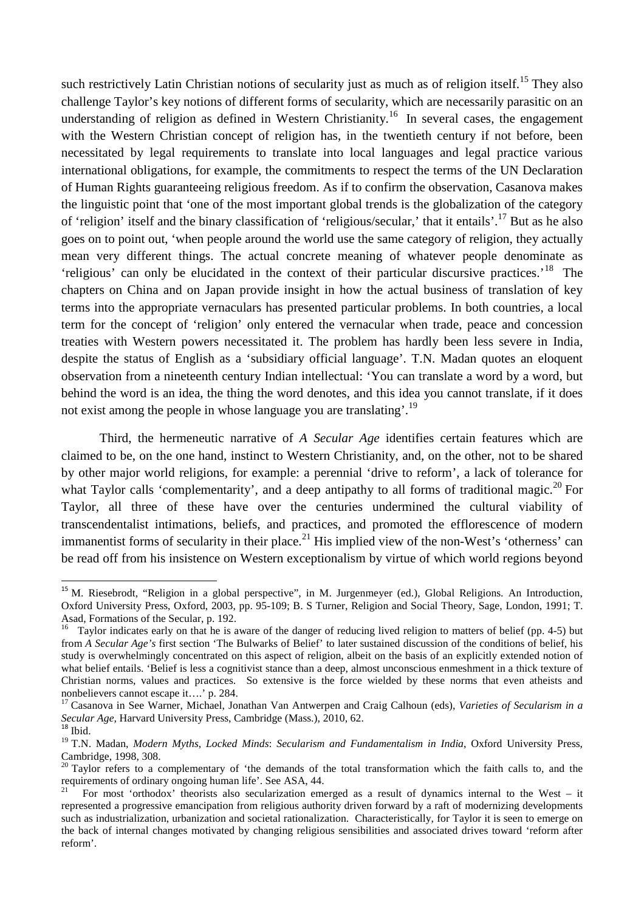such restrictively Latin Christian notions of secularity just as much as of religion itself.<sup>15</sup> They also challenge Taylor's key notions of different forms of secularity, which are necessarily parasitic on an understanding of religion as defined in Western Christianity.<sup>16</sup> In several cases, the engagement with the Western Christian concept of religion has, in the twentieth century if not before, been necessitated by legal requirements to translate into local languages and legal practice various international obligations, for example, the commitments to respect the terms of the UN Declaration of Human Rights guaranteeing religious freedom. As if to confirm the observation, Casanova makes the linguistic point that 'one of the most important global trends is the globalization of the category of 'religion' itself and the binary classification of 'religious/secular,' that it entails'.<sup>17</sup> But as he also goes on to point out, 'when people around the world use the same category of religion, they actually mean very different things. The actual concrete meaning of whatever people denominate as 'religious' can only be elucidated in the context of their particular discursive practices.'<sup>18</sup> The chapters on China and on Japan provide insight in how the actual business of translation of key terms into the appropriate vernaculars has presented particular problems. In both countries, a local term for the concept of 'religion' only entered the vernacular when trade, peace and concession treaties with Western powers necessitated it. The problem has hardly been less severe in India, despite the status of English as a 'subsidiary official language'. T.N. Madan quotes an eloquent observation from a nineteenth century Indian intellectual: 'You can translate a word by a word, but behind the word is an idea, the thing the word denotes, and this idea you cannot translate, if it does not exist among the people in whose language you are translating'.<sup>19</sup>

 Third, the hermeneutic narrative of *A Secular Age* identifies certain features which are claimed to be, on the one hand, instinct to Western Christianity, and, on the other, not to be shared by other major world religions, for example: a perennial 'drive to reform', a lack of tolerance for what Taylor calls 'complementarity', and a deep antipathy to all forms of traditional magic.<sup>20</sup> For Taylor, all three of these have over the centuries undermined the cultural viability of transcendentalist intimations, beliefs, and practices, and promoted the efflorescence of modern immanentist forms of secularity in their place.<sup>21</sup> His implied view of the non-West's 'otherness' can be read off from his insistence on Western exceptionalism by virtue of which world regions beyond

<sup>&</sup>lt;sup>15</sup> M. Riesebrodt, "Religion in a global perspective", in M. Jurgenmeyer (ed.), Global Religions. An Introduction, Oxford University Press, Oxford, 2003, pp. 95-109; B. S Turner, Religion and Social Theory, Sage, London, 1991; T. Asad, Formations of the Secular, p. 192.

 $16$  Taylor indicates early on that he is aware of the danger of reducing lived religion to matters of belief (pp. 4-5) but from *A Secular Age's* first section 'The Bulwarks of Belief' to later sustained discussion of the conditions of belief, his study is overwhelmingly concentrated on this aspect of religion, albeit on the basis of an explicitly extended notion of what belief entails. 'Belief is less a cognitivist stance than a deep, almost unconscious enmeshment in a thick texture of Christian norms, values and practices. So extensive is the force wielded by these norms that even atheists and nonbelievers cannot escape it….' p. 284.

<sup>17</sup> Casanova in See Warner, Michael, Jonathan Van Antwerpen and Craig Calhoun (eds), *Varieties of Secularism in a Secular Age,* Harvard University Press, Cambridge (Mass.), 2010, 62.

 $18$  Ibid.

<sup>19</sup> T.N. Madan, *Modern Myths*, *Locked Minds*: *Secularism and Fundamentalism in India*, Oxford University Press, Cambridge, 1998, 308.

<sup>&</sup>lt;sup>20</sup> Taylor refers to a complementary of 'the demands of the total transformation which the faith calls to, and the requirements of ordinary ongoing human life'. See ASA, 44.

<sup>21</sup> For most 'orthodox' theorists also secularization emerged as a result of dynamics internal to the West – it represented a progressive emancipation from religious authority driven forward by a raft of modernizing developments such as industrialization, urbanization and societal rationalization. Characteristically, for Taylor it is seen to emerge on the back of internal changes motivated by changing religious sensibilities and associated drives toward 'reform after reform'.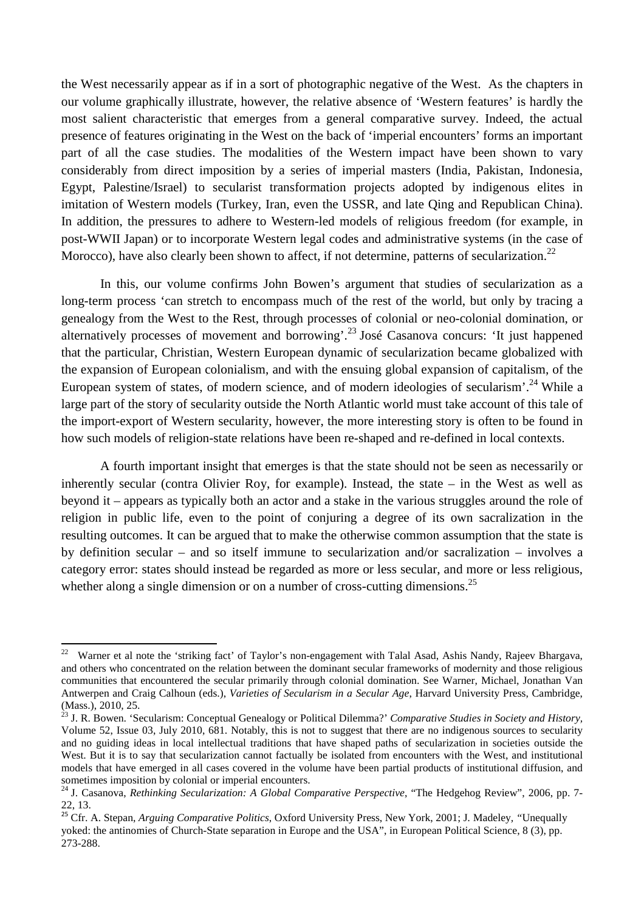the West necessarily appear as if in a sort of photographic negative of the West. As the chapters in our volume graphically illustrate, however, the relative absence of 'Western features' is hardly the most salient characteristic that emerges from a general comparative survey. Indeed, the actual presence of features originating in the West on the back of 'imperial encounters' forms an important part of all the case studies. The modalities of the Western impact have been shown to vary considerably from direct imposition by a series of imperial masters (India, Pakistan, Indonesia, Egypt, Palestine/Israel) to secularist transformation projects adopted by indigenous elites in imitation of Western models (Turkey, Iran, even the USSR, and late Qing and Republican China). In addition, the pressures to adhere to Western-led models of religious freedom (for example, in post-WWII Japan) or to incorporate Western legal codes and administrative systems (in the case of Morocco), have also clearly been shown to affect, if not determine, patterns of secularization.<sup>22</sup>

In this, our volume confirms John Bowen's argument that studies of secularization as a long-term process 'can stretch to encompass much of the rest of the world, but only by tracing a genealogy from the West to the Rest, through processes of colonial or neo-colonial domination, or alternatively processes of movement and borrowing'.<sup>23</sup> José Casanova concurs: 'It just happened that the particular, Christian, Western European dynamic of secularization became globalized with the expansion of European colonialism, and with the ensuing global expansion of capitalism, of the European system of states, of modern science, and of modern ideologies of secularism'.<sup>24</sup> While a large part of the story of secularity outside the North Atlantic world must take account of this tale of the import-export of Western secularity, however, the more interesting story is often to be found in how such models of religion-state relations have been re-shaped and re-defined in local contexts.

A fourth important insight that emerges is that the state should not be seen as necessarily or inherently secular (contra Olivier Roy, for example). Instead, the state – in the West as well as beyond it – appears as typically both an actor and a stake in the various struggles around the role of religion in public life, even to the point of conjuring a degree of its own sacralization in the resulting outcomes. It can be argued that to make the otherwise common assumption that the state is by definition secular – and so itself immune to secularization and/or sacralization – involves a category error: states should instead be regarded as more or less secular, and more or less religious, whether along a single dimension or on a number of cross-cutting dimensions.<sup>25</sup>

<sup>22</sup> Warner et al note the 'striking fact' of Taylor's non-engagement with Talal Asad, Ashis Nandy, Rajeev Bhargava, and others who concentrated on the relation between the dominant secular frameworks of modernity and those religious communities that encountered the secular primarily through colonial domination. See Warner, Michael, Jonathan Van Antwerpen and Craig Calhoun (eds.), *Varieties of Secularism in a Secular Age*, Harvard University Press, Cambridge, (Mass.), 2010, 25.

<sup>23</sup> J. R. Bowen. 'Secularism: Conceptual Genealogy or Political Dilemma?' *Comparative Studies in Society and History,* Volume 52, Issue 03, July 2010, 681. Notably, this is not to suggest that there are no indigenous sources to secularity and no guiding ideas in local intellectual traditions that have shaped paths of secularization in societies outside the West. But it is to say that secularization cannot factually be isolated from encounters with the West, and institutional models that have emerged in all cases covered in the volume have been partial products of institutional diffusion, and sometimes imposition by colonial or imperial encounters.

<sup>&</sup>lt;sup>24</sup> J. Casanova, *Rethinking Secularization: A Global Comparative Perspective*, "The Hedgehog Review", 2006, pp. 7-22, 13.

<sup>25</sup> Cfr. A. Stepan, *Arguing Comparative Politics*, Oxford University Press, New York, 2001; J*.* Madeley*, "*Unequally yoked: the antinomies of Church-State separation in Europe and the USA", in European Political Science, 8 (3), pp. 273-288.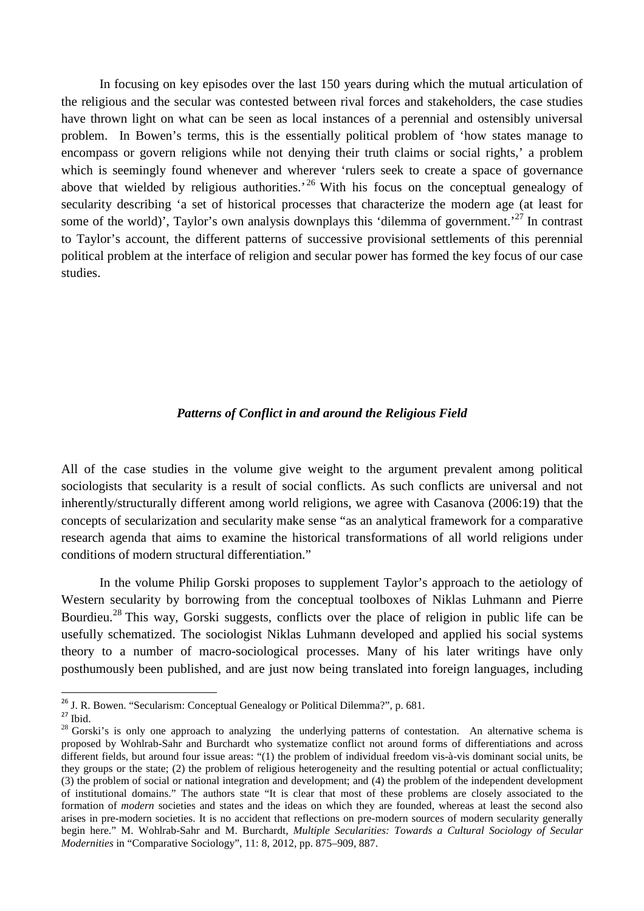In focusing on key episodes over the last 150 years during which the mutual articulation of the religious and the secular was contested between rival forces and stakeholders, the case studies have thrown light on what can be seen as local instances of a perennial and ostensibly universal problem. In Bowen's terms, this is the essentially political problem of 'how states manage to encompass or govern religions while not denying their truth claims or social rights,' a problem which is seemingly found whenever and wherever 'rulers seek to create a space of governance above that wielded by religious authorities.<sup>26</sup> With his focus on the conceptual genealogy of secularity describing 'a set of historical processes that characterize the modern age (at least for some of the world)', Taylor's own analysis downplays this 'dilemma of government.'<sup>27</sup> In contrast to Taylor's account, the different patterns of successive provisional settlements of this perennial political problem at the interface of religion and secular power has formed the key focus of our case studies.

#### *Patterns of Conflict in and around the Religious Field*

All of the case studies in the volume give weight to the argument prevalent among political sociologists that secularity is a result of social conflicts. As such conflicts are universal and not inherently/structurally different among world religions, we agree with Casanova (2006:19) that the concepts of secularization and secularity make sense "as an analytical framework for a comparative research agenda that aims to examine the historical transformations of all world religions under conditions of modern structural differentiation."

 In the volume Philip Gorski proposes to supplement Taylor's approach to the aetiology of Western secularity by borrowing from the conceptual toolboxes of Niklas Luhmann and Pierre Bourdieu.<sup>28</sup> This way, Gorski suggests, conflicts over the place of religion in public life can be usefully schematized. The sociologist Niklas Luhmann developed and applied his social systems theory to a number of macro-sociological processes. Many of his later writings have only posthumously been published, and are just now being translated into foreign languages, including

<sup>&</sup>lt;sup>26</sup> J. R. Bowen. "Secularism: Conceptual Genealogy or Political Dilemma?", p. 681.

 $27$  Ibid.

<sup>&</sup>lt;sup>28</sup> Gorski's is only one approach to analyzing the underlying patterns of contestation. An alternative schema is proposed by Wohlrab-Sahr and Burchardt who systematize conflict not around forms of differentiations and across different fields, but around four issue areas: "(1) the problem of individual freedom vis-à-vis dominant social units, be they groups or the state; (2) the problem of religious heterogeneity and the resulting potential or actual conflictuality; (3) the problem of social or national integration and development; and (4) the problem of the independent development of institutional domains." The authors state "It is clear that most of these problems are closely associated to the formation of *modern* societies and states and the ideas on which they are founded, whereas at least the second also arises in pre-modern societies. It is no accident that reflections on pre-modern sources of modern secularity generally begin here." M. Wohlrab-Sahr and M. Burchardt, *Multiple Secularities: Towards a Cultural Sociology of Secular Modernities* in "Comparative Sociology", 11: 8, 2012, pp. 875–909, 887.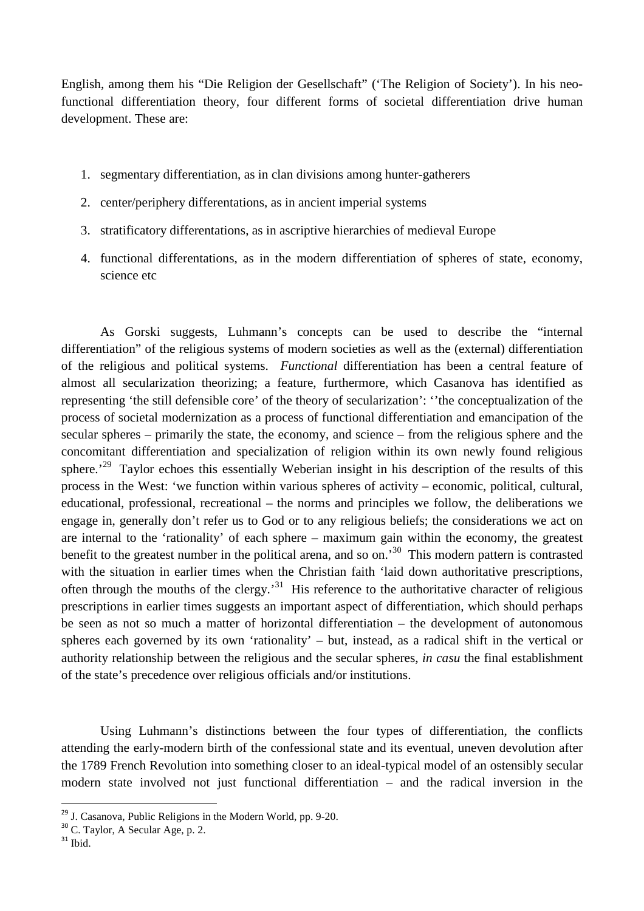English, among them his "Die Religion der Gesellschaft" ('The Religion of Society'). In his neofunctional differentiation theory, four different forms of societal differentiation drive human development. These are:

- 1. segmentary differentiation, as in clan divisions among hunter-gatherers
- 2. center/periphery differentations, as in ancient imperial systems
- 3. stratificatory differentations, as in ascriptive hierarchies of medieval Europe
- 4. functional differentations, as in the modern differentiation of spheres of state, economy, science etc

As Gorski suggests, Luhmann's concepts can be used to describe the "internal differentiation" of the religious systems of modern societies as well as the (external) differentiation of the religious and political systems. *Functional* differentiation has been a central feature of almost all secularization theorizing; a feature, furthermore, which Casanova has identified as representing 'the still defensible core' of the theory of secularization': ''the conceptualization of the process of societal modernization as a process of functional differentiation and emancipation of the secular spheres – primarily the state, the economy, and science – from the religious sphere and the concomitant differentiation and specialization of religion within its own newly found religious sphere.<sup>29</sup> Taylor echoes this essentially Weberian insight in his description of the results of this process in the West: 'we function within various spheres of activity – economic, political, cultural, educational, professional, recreational – the norms and principles we follow, the deliberations we engage in, generally don't refer us to God or to any religious beliefs; the considerations we act on are internal to the 'rationality' of each sphere – maximum gain within the economy, the greatest benefit to the greatest number in the political arena, and so on.'<sup>30</sup> This modern pattern is contrasted with the situation in earlier times when the Christian faith 'laid down authoritative prescriptions, often through the mouths of the clergy.'<sup>31</sup> His reference to the authoritative character of religious prescriptions in earlier times suggests an important aspect of differentiation, which should perhaps be seen as not so much a matter of horizontal differentiation – the development of autonomous spheres each governed by its own 'rationality' – but, instead, as a radical shift in the vertical or authority relationship between the religious and the secular spheres, *in casu* the final establishment of the state's precedence over religious officials and/or institutions.

Using Luhmann's distinctions between the four types of differentiation, the conflicts attending the early-modern birth of the confessional state and its eventual, uneven devolution after the 1789 French Revolution into something closer to an ideal-typical model of an ostensibly secular modern state involved not just functional differentiation – and the radical inversion in the

<sup>&</sup>lt;sup>29</sup> J. Casanova, Public Religions in the Modern World, pp. 9-20.

 $30$  C. Taylor, A Secular Age, p. 2.

 $^{\rm 31}$  Ibid.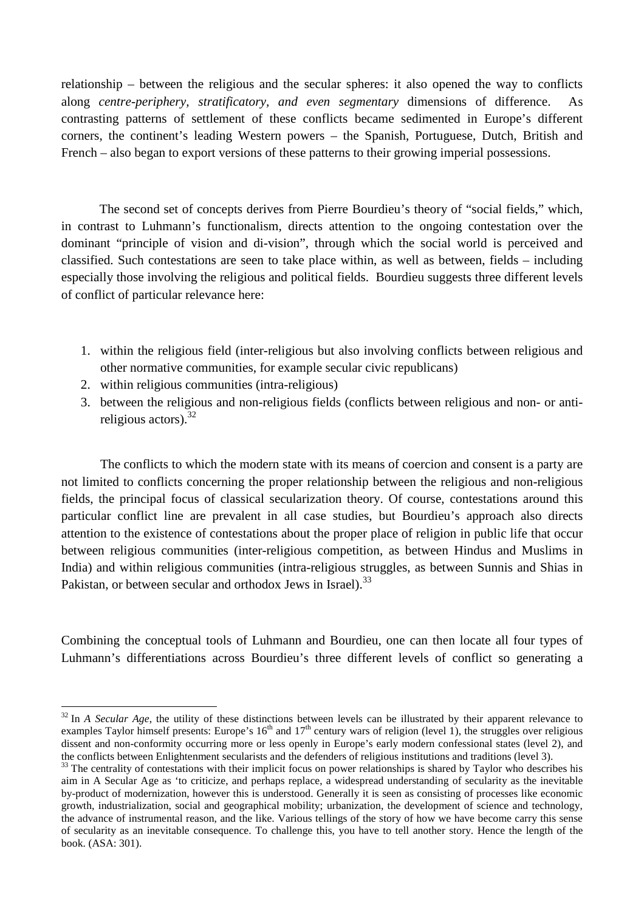relationship – between the religious and the secular spheres: it also opened the way to conflicts along *centre-periphery, stratificatory, and even segmentary* dimensions of difference. As contrasting patterns of settlement of these conflicts became sedimented in Europe's different corners, the continent's leading Western powers – the Spanish, Portuguese, Dutch, British and French – also began to export versions of these patterns to their growing imperial possessions.

 The second set of concepts derives from Pierre Bourdieu's theory of "social fields," which, in contrast to Luhmann's functionalism, directs attention to the ongoing contestation over the dominant "principle of vision and di-vision", through which the social world is perceived and classified. Such contestations are seen to take place within, as well as between, fields – including especially those involving the religious and political fields. Bourdieu suggests three different levels of conflict of particular relevance here:

- 1. within the religious field (inter-religious but also involving conflicts between religious and other normative communities, for example secular civic republicans)
- 2. within religious communities (intra-religious)

 $\overline{a}$ 

3. between the religious and non-religious fields (conflicts between religious and non- or antireligious actors).<sup>32</sup>

The conflicts to which the modern state with its means of coercion and consent is a party are not limited to conflicts concerning the proper relationship between the religious and non-religious fields, the principal focus of classical secularization theory. Of course, contestations around this particular conflict line are prevalent in all case studies, but Bourdieu's approach also directs attention to the existence of contestations about the proper place of religion in public life that occur between religious communities (inter-religious competition, as between Hindus and Muslims in India) and within religious communities (intra-religious struggles, as between Sunnis and Shias in Pakistan, or between secular and orthodox Jews in Israel).<sup>33</sup>

Combining the conceptual tools of Luhmann and Bourdieu, one can then locate all four types of Luhmann's differentiations across Bourdieu's three different levels of conflict so generating a

<sup>&</sup>lt;sup>32</sup> In *A Secular Age*, the utility of these distinctions between levels can be illustrated by their apparent relevance to examples Taylor himself presents: Europe's  $16<sup>th</sup>$  and  $17<sup>th</sup>$  century wars of religion (level 1), the struggles over religious dissent and non-conformity occurring more or less openly in Europe's early modern confessional states (level 2), and the conflicts between Enlightenment secularists and the defenders of religious institutions and traditions (level 3).

 $33$  The centrality of contestations with their implicit focus on power relationships is shared by Taylor who describes his aim in A Secular Age as 'to criticize, and perhaps replace, a widespread understanding of secularity as the inevitable by-product of modernization, however this is understood. Generally it is seen as consisting of processes like economic growth, industrialization, social and geographical mobility; urbanization, the development of science and technology, the advance of instrumental reason, and the like. Various tellings of the story of how we have become carry this sense of secularity as an inevitable consequence. To challenge this, you have to tell another story. Hence the length of the book. (ASA: 301).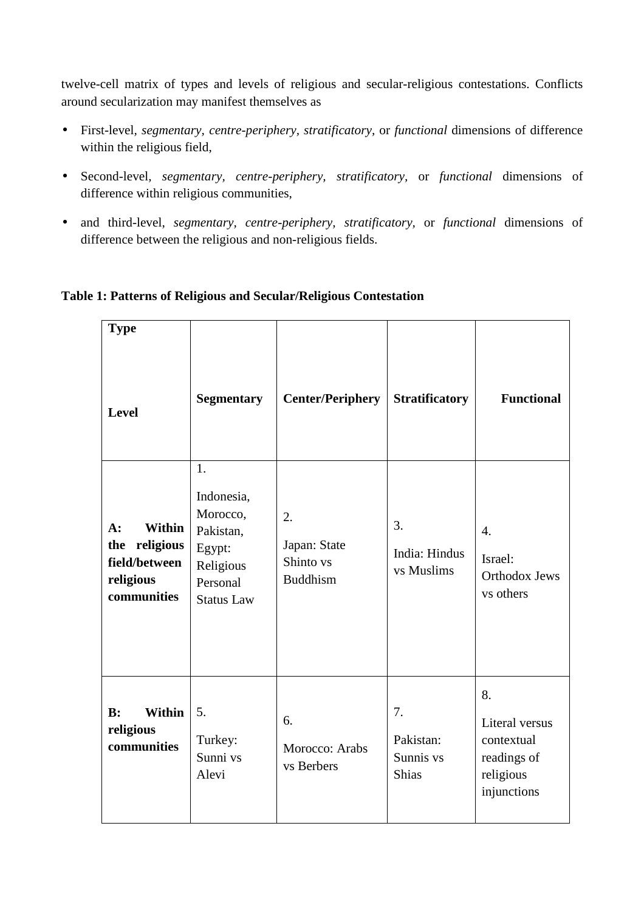twelve-cell matrix of types and levels of religious and secular-religious contestations. Conflicts around secularization may manifest themselves as

- First-level*, segmentary, centre-periphery, stratificatory,* or *functional* dimensions of difference within the religious field,
- Second-level*, segmentary, centre-periphery, stratificatory,* or *functional* dimensions of difference within religious communities,
- and third-level, *segmentary, centre-periphery, stratificatory,* or *functional* dimensions of difference between the religious and non-religious fields.

| <b>Type</b><br><b>Level</b>                                                             | <b>Segmentary</b>                                                                                 | <b>Center/Periphery</b>                            | <b>Stratificatory</b>                        | <b>Functional</b>                                                             |
|-----------------------------------------------------------------------------------------|---------------------------------------------------------------------------------------------------|----------------------------------------------------|----------------------------------------------|-------------------------------------------------------------------------------|
| <b>Within</b><br>$A$ :<br>religious<br>the<br>field/between<br>religious<br>communities | 1.<br>Indonesia,<br>Morocco,<br>Pakistan,<br>Egypt:<br>Religious<br>Personal<br><b>Status Law</b> | 2.<br>Japan: State<br>Shinto vs<br><b>Buddhism</b> | 3.<br>India: Hindus<br>vs Muslims            | $\overline{4}$ .<br>Israel:<br><b>Orthodox Jews</b><br>vs others              |
| B:<br><b>Within</b><br>religious<br>communities                                         | 5.<br>Turkey:<br>Sunni vs<br>Alevi                                                                | 6.<br>Morocco: Arabs<br>vs Berbers                 | 7.<br>Pakistan:<br>Sunnis vs<br><b>Shias</b> | 8.<br>Literal versus<br>contextual<br>readings of<br>religious<br>injunctions |

# **Table 1: Patterns of Religious and Secular/Religious Contestation**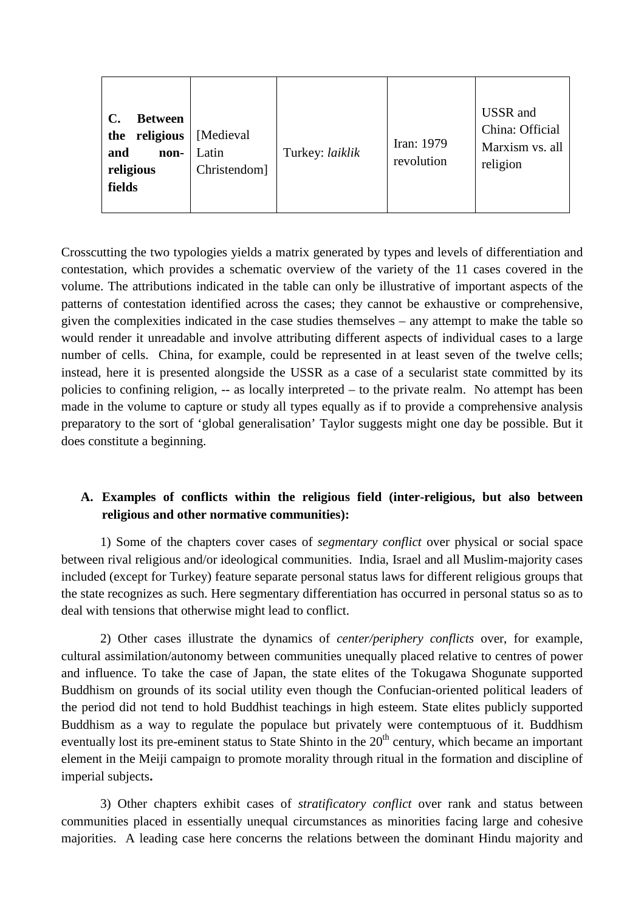| $\mathbf{C}$ .<br><b>Between</b><br>religious<br>the<br>and<br>non-<br>religious<br>fields | [Medieval]<br>Latin<br>Christendom] | Turkey: laiklik | Iran: 1979<br>revolution | <b>USSR</b> and<br>China: Official<br>Marxism vs. all<br>religion |
|--------------------------------------------------------------------------------------------|-------------------------------------|-----------------|--------------------------|-------------------------------------------------------------------|
|--------------------------------------------------------------------------------------------|-------------------------------------|-----------------|--------------------------|-------------------------------------------------------------------|

Crosscutting the two typologies yields a matrix generated by types and levels of differentiation and contestation, which provides a schematic overview of the variety of the 11 cases covered in the volume. The attributions indicated in the table can only be illustrative of important aspects of the patterns of contestation identified across the cases; they cannot be exhaustive or comprehensive, given the complexities indicated in the case studies themselves – any attempt to make the table so would render it unreadable and involve attributing different aspects of individual cases to a large number of cells. China, for example, could be represented in at least seven of the twelve cells; instead, here it is presented alongside the USSR as a case of a secularist state committed by its policies to confining religion, -- as locally interpreted – to the private realm. No attempt has been made in the volume to capture or study all types equally as if to provide a comprehensive analysis preparatory to the sort of 'global generalisation' Taylor suggests might one day be possible. But it does constitute a beginning.

# **A. Examples of conflicts within the religious field (inter-religious, but also between religious and other normative communities):**

1) Some of the chapters cover cases of *segmentary conflict* over physical or social space between rival religious and/or ideological communities. India, Israel and all Muslim-majority cases included (except for Turkey) feature separate personal status laws for different religious groups that the state recognizes as such. Here segmentary differentiation has occurred in personal status so as to deal with tensions that otherwise might lead to conflict.

2) Other cases illustrate the dynamics of *center/periphery conflicts* over, for example, cultural assimilation/autonomy between communities unequally placed relative to centres of power and influence. To take the case of Japan, the state elites of the Tokugawa Shogunate supported Buddhism on grounds of its social utility even though the Confucian-oriented political leaders of the period did not tend to hold Buddhist teachings in high esteem. State elites publicly supported Buddhism as a way to regulate the populace but privately were contemptuous of it. Buddhism eventually lost its pre-eminent status to State Shinto in the 20<sup>th</sup> century, which became an important element in the Meiji campaign to promote morality through ritual in the formation and discipline of imperial subjects**.** 

3) Other chapters exhibit cases of *stratificatory conflict* over rank and status between communities placed in essentially unequal circumstances as minorities facing large and cohesive majorities. A leading case here concerns the relations between the dominant Hindu majority and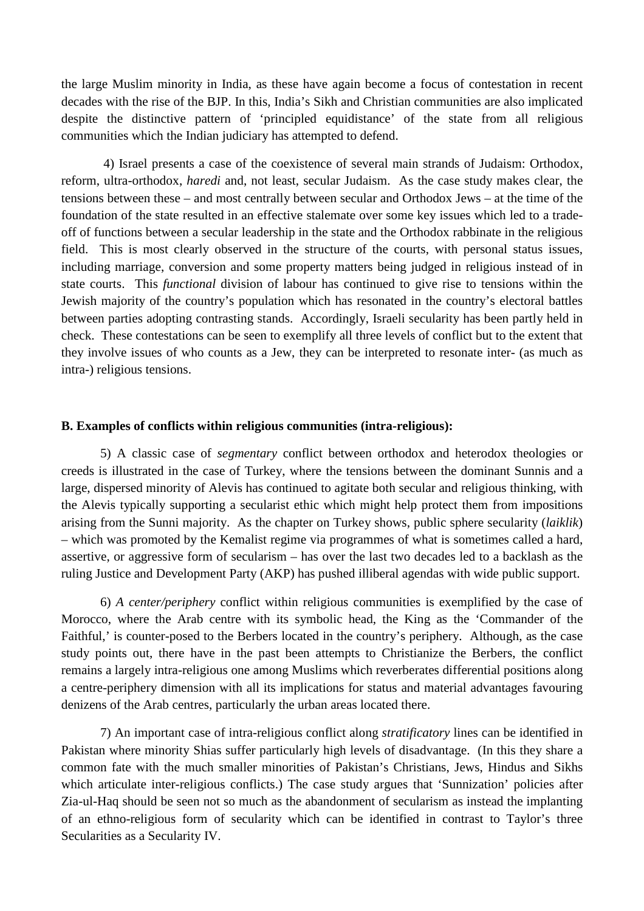the large Muslim minority in India, as these have again become a focus of contestation in recent decades with the rise of the BJP. In this, India's Sikh and Christian communities are also implicated despite the distinctive pattern of 'principled equidistance' of the state from all religious communities which the Indian judiciary has attempted to defend.

 4) Israel presents a case of the coexistence of several main strands of Judaism: Orthodox, reform, ultra-orthodox, *haredi* and, not least, secular Judaism. As the case study makes clear, the tensions between these – and most centrally between secular and Orthodox Jews – at the time of the foundation of the state resulted in an effective stalemate over some key issues which led to a tradeoff of functions between a secular leadership in the state and the Orthodox rabbinate in the religious field. This is most clearly observed in the structure of the courts, with personal status issues, including marriage, conversion and some property matters being judged in religious instead of in state courts. This *functional* division of labour has continued to give rise to tensions within the Jewish majority of the country's population which has resonated in the country's electoral battles between parties adopting contrasting stands. Accordingly, Israeli secularity has been partly held in check. These contestations can be seen to exemplify all three levels of conflict but to the extent that they involve issues of who counts as a Jew, they can be interpreted to resonate inter- (as much as intra-) religious tensions.

#### **B. Examples of conflicts within religious communities (intra-religious):**

5) A classic case of *segmentary* conflict between orthodox and heterodox theologies or creeds is illustrated in the case of Turkey, where the tensions between the dominant Sunnis and a large, dispersed minority of Alevis has continued to agitate both secular and religious thinking, with the Alevis typically supporting a secularist ethic which might help protect them from impositions arising from the Sunni majority. As the chapter on Turkey shows, public sphere secularity (*laiklik*) – which was promoted by the Kemalist regime via programmes of what is sometimes called a hard, assertive, or aggressive form of secularism – has over the last two decades led to a backlash as the ruling Justice and Development Party (AKP) has pushed illiberal agendas with wide public support.

6) *A center/periphery* conflict within religious communities is exemplified by the case of Morocco, where the Arab centre with its symbolic head, the King as the 'Commander of the Faithful,' is counter-posed to the Berbers located in the country's periphery. Although, as the case study points out, there have in the past been attempts to Christianize the Berbers, the conflict remains a largely intra-religious one among Muslims which reverberates differential positions along a centre-periphery dimension with all its implications for status and material advantages favouring denizens of the Arab centres, particularly the urban areas located there.

7) An important case of intra-religious conflict along *stratificatory* lines can be identified in Pakistan where minority Shias suffer particularly high levels of disadvantage. (In this they share a common fate with the much smaller minorities of Pakistan's Christians, Jews, Hindus and Sikhs which articulate inter-religious conflicts.) The case study argues that 'Sunnization' policies after Zia-ul-Haq should be seen not so much as the abandonment of secularism as instead the implanting of an ethno-religious form of secularity which can be identified in contrast to Taylor's three Secularities as a Secularity IV.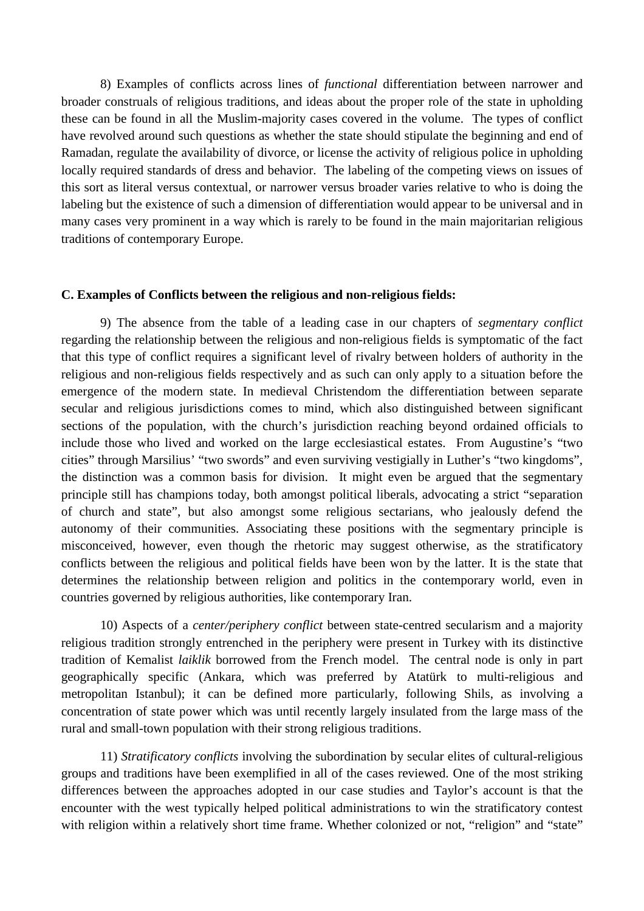8) Examples of conflicts across lines of *functional* differentiation between narrower and broader construals of religious traditions, and ideas about the proper role of the state in upholding these can be found in all the Muslim-majority cases covered in the volume. The types of conflict have revolved around such questions as whether the state should stipulate the beginning and end of Ramadan, regulate the availability of divorce, or license the activity of religious police in upholding locally required standards of dress and behavior. The labeling of the competing views on issues of this sort as literal versus contextual, or narrower versus broader varies relative to who is doing the labeling but the existence of such a dimension of differentiation would appear to be universal and in many cases very prominent in a way which is rarely to be found in the main majoritarian religious traditions of contemporary Europe.

#### **C. Examples of Conflicts between the religious and non-religious fields:**

9) The absence from the table of a leading case in our chapters of *segmentary conflict* regarding the relationship between the religious and non-religious fields is symptomatic of the fact that this type of conflict requires a significant level of rivalry between holders of authority in the religious and non-religious fields respectively and as such can only apply to a situation before the emergence of the modern state. In medieval Christendom the differentiation between separate secular and religious jurisdictions comes to mind, which also distinguished between significant sections of the population, with the church's jurisdiction reaching beyond ordained officials to include those who lived and worked on the large ecclesiastical estates. From Augustine's "two cities" through Marsilius' "two swords" and even surviving vestigially in Luther's "two kingdoms", the distinction was a common basis for division. It might even be argued that the segmentary principle still has champions today, both amongst political liberals, advocating a strict "separation of church and state", but also amongst some religious sectarians, who jealously defend the autonomy of their communities. Associating these positions with the segmentary principle is misconceived, however, even though the rhetoric may suggest otherwise, as the stratificatory conflicts between the religious and political fields have been won by the latter. It is the state that determines the relationship between religion and politics in the contemporary world, even in countries governed by religious authorities, like contemporary Iran.

10) Aspects of a *center/periphery conflict* between state-centred secularism and a majority religious tradition strongly entrenched in the periphery were present in Turkey with its distinctive tradition of Kemalist *laiklik* borrowed from the French model. The central node is only in part geographically specific (Ankara, which was preferred by Atatürk to multi-religious and metropolitan Istanbul); it can be defined more particularly, following Shils, as involving a concentration of state power which was until recently largely insulated from the large mass of the rural and small-town population with their strong religious traditions.

11) *Stratificatory conflicts* involving the subordination by secular elites of cultural-religious groups and traditions have been exemplified in all of the cases reviewed. One of the most striking differences between the approaches adopted in our case studies and Taylor's account is that the encounter with the west typically helped political administrations to win the stratificatory contest with religion within a relatively short time frame. Whether colonized or not, "religion" and "state"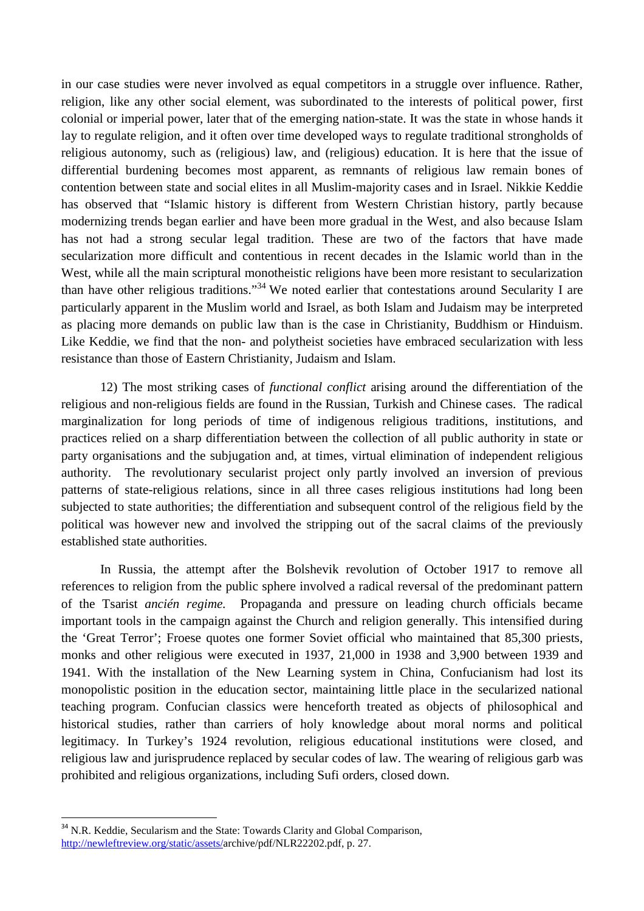in our case studies were never involved as equal competitors in a struggle over influence. Rather, religion, like any other social element, was subordinated to the interests of political power, first colonial or imperial power, later that of the emerging nation-state. It was the state in whose hands it lay to regulate religion, and it often over time developed ways to regulate traditional strongholds of religious autonomy, such as (religious) law, and (religious) education. It is here that the issue of differential burdening becomes most apparent, as remnants of religious law remain bones of contention between state and social elites in all Muslim-majority cases and in Israel. Nikkie Keddie has observed that "Islamic history is different from Western Christian history, partly because modernizing trends began earlier and have been more gradual in the West, and also because Islam has not had a strong secular legal tradition. These are two of the factors that have made secularization more difficult and contentious in recent decades in the Islamic world than in the West, while all the main scriptural monotheistic religions have been more resistant to secularization than have other religious traditions."<sup>34</sup> We noted earlier that contestations around Secularity I are particularly apparent in the Muslim world and Israel, as both Islam and Judaism may be interpreted as placing more demands on public law than is the case in Christianity, Buddhism or Hinduism. Like Keddie, we find that the non- and polytheist societies have embraced secularization with less resistance than those of Eastern Christianity, Judaism and Islam.

12) The most striking cases of *functional conflict* arising around the differentiation of the religious and non-religious fields are found in the Russian, Turkish and Chinese cases. The radical marginalization for long periods of time of indigenous religious traditions, institutions, and practices relied on a sharp differentiation between the collection of all public authority in state or party organisations and the subjugation and, at times, virtual elimination of independent religious authority. The revolutionary secularist project only partly involved an inversion of previous patterns of state-religious relations, since in all three cases religious institutions had long been subjected to state authorities; the differentiation and subsequent control of the religious field by the political was however new and involved the stripping out of the sacral claims of the previously established state authorities.

In Russia, the attempt after the Bolshevik revolution of October 1917 to remove all references to religion from the public sphere involved a radical reversal of the predominant pattern of the Tsarist *ancién regime.* Propaganda and pressure on leading church officials became important tools in the campaign against the Church and religion generally. This intensified during the 'Great Terror'; Froese quotes one former Soviet official who maintained that 85,300 priests, monks and other religious were executed in 1937, 21,000 in 1938 and 3,900 between 1939 and 1941. With the installation of the New Learning system in China, Confucianism had lost its monopolistic position in the education sector, maintaining little place in the secularized national teaching program. Confucian classics were henceforth treated as objects of philosophical and historical studies, rather than carriers of holy knowledge about moral norms and political legitimacy. In Turkey's 1924 revolution, religious educational institutions were closed, and religious law and jurisprudence replaced by secular codes of law. The wearing of religious garb was prohibited and religious organizations, including Sufi orders, closed down.

 $\overline{a}$ 

<sup>&</sup>lt;sup>34</sup> N.R. Keddie, Secularism and the State: Towards Clarity and Global Comparison, http://newleftreview.org/static/assets/archive/pdf/NLR22202.pdf, p. 27.